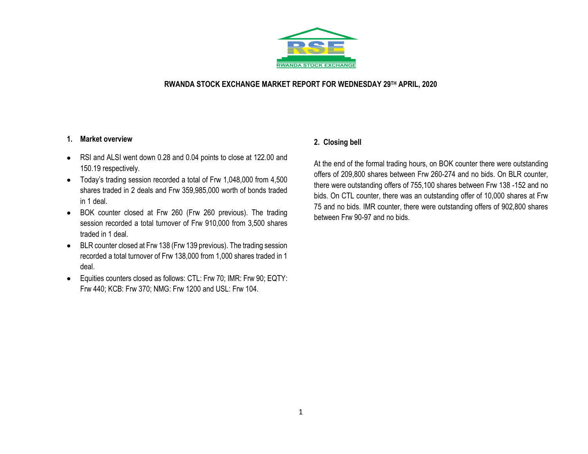

#### **RWANDA STOCK EXCHANGE MARKET REPORT FOR WEDNESDAY 29TH APRIL, 2020**

#### **1. Market overview**

- RSI and ALSI went down 0.28 and 0.04 points to close at 122.00 and 150.19 respectively.
- Today's trading session recorded a total of Frw 1,048,000 from 4,500 shares traded in 2 deals and Frw 359,985,000 worth of bonds traded in 1 deal.
- BOK counter closed at Frw 260 (Frw 260 previous). The trading session recorded a total turnover of Frw 910,000 from 3,500 shares traded in 1 deal.
- BLR counter closed at Frw 138 (Frw 139 previous). The trading session recorded a total turnover of Frw 138,000 from 1,000 shares traded in 1 deal.
- Equities counters closed as follows: CTL: Frw 70; IMR: Frw 90; EQTY: Frw 440; KCB: Frw 370; NMG: Frw 1200 and USL: Frw 104.

## **2. Closing bell**

At the end of the formal trading hours, on BOK counter there were outstanding offers of 209,800 shares between Frw 260-274 and no bids. On BLR counter, there were outstanding offers of 755,100 shares between Frw 138 -152 and no bids. On CTL counter, there was an outstanding offer of 10,000 shares at Frw 75 and no bids. IMR counter, there were outstanding offers of 902,800 shares between Frw 90-97 and no bids.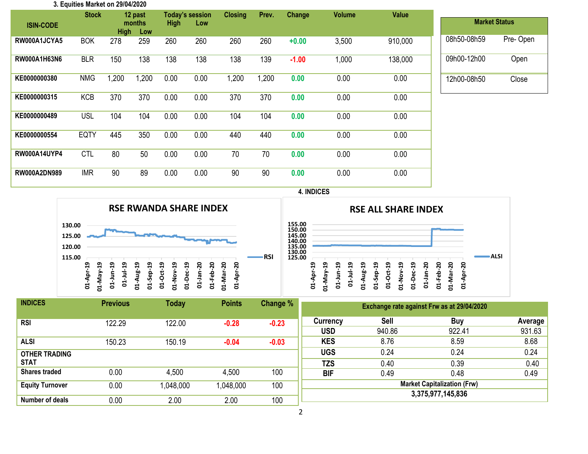| 3. Equities Market on 29/04/2020 |              |                              |         |                    |                        |      |       |         |               |         |                      |          |
|----------------------------------|--------------|------------------------------|---------|--------------------|------------------------|------|-------|---------|---------------|---------|----------------------|----------|
|                                  | <b>Stock</b> |                              | 12 past |                    | <b>Today's session</b> |      | Prev. | Change  | <b>Volume</b> | Value   |                      |          |
| <b>ISIN-CODE</b>                 |              | months<br><b>High</b><br>Low |         | <b>High</b><br>Low |                        |      |       |         |               |         | <b>Market Status</b> |          |
| RW000A1JCYA5                     | <b>BOK</b>   | 278                          | 259     | 260                | 260                    | 260  | 260   | $+0.00$ | 3,500         | 910,000 | 08h50-08h59          | Pre-Open |
| RW000A1H63N6                     | <b>BLR</b>   | 150                          | 138     | 138                | 138                    | 138  | 139   | $-1.00$ | 1,000         | 138,000 | 09h00-12h00          | Open     |
| KE0000000380                     | <b>NMG</b>   | 1,200                        | 1,200   | 0.00               | 0.00                   | ,200 | 1,200 | 0.00    | 0.00          | 0.00    | 12h00-08h50          | Close    |
| KE0000000315                     | <b>KCB</b>   | 370                          | 370     | 0.00               | 0.00                   | 370  | 370   | 0.00    | 0.00          | 0.00    |                      |          |
| KE0000000489                     | <b>USL</b>   | 104                          | 104     | 0.00               | 0.00                   | 104  | 104   | 0.00    | 0.00          | 0.00    |                      |          |
| KE0000000554                     | <b>EQTY</b>  | 445                          | 350     | 0.00               | 0.00                   | 440  | 440   | 0.00    | 0.00          | 0.00    |                      |          |
| <b>RW000A14UYP4</b>              | <b>CTL</b>   | 80                           | 50      | 0.00               | 0.00                   | 70   | 70    | 0.00    | 0.00          | 0.00    |                      |          |
| RW000A2DN989                     | <b>IMR</b>   | 90                           | 89      | 0.00               | 0.00                   | 90   | 90    | 0.00    | 0.00          | 0.00    |                      |          |



**01-Oct-19 01-Nov-19 01-Dec-19 01-Jan-20 01-Feb-20 01-Mar-20 01-Apr-20** **ALSI**



| <b>INDICES</b>         | <b>Previous</b> | <b>Today</b> | <b>Points</b> | Change % | Exchange rate against Frw as at 29/04/2020 |        |            |         |  |  |
|------------------------|-----------------|--------------|---------------|----------|--------------------------------------------|--------|------------|---------|--|--|
| <b>RSI</b>             | 122.29          | 122.00       | $-0.28$       | $-0.23$  | Currency                                   | Sell   | <b>Buy</b> | Average |  |  |
|                        |                 |              |               |          | <b>USD</b>                                 | 940.86 | 922.41     | 931.63  |  |  |
| <b>ALSI</b>            | 150.23          | 150.19       | $-0.04$       | $-0.03$  | <b>KES</b>                                 | 8.76   | 8.59       | 8.68    |  |  |
| <b>OTHER TRADING</b>   |                 |              |               |          | <b>UGS</b>                                 | 0.24   | 0.24       | 0.24    |  |  |
| <b>STAT</b>            |                 |              |               |          | <b>TZS</b>                                 | 0.40   | 0.39       | 0.40    |  |  |
| <b>Shares traded</b>   | 0.00            | 4,500        | 4,500         | 100      | <b>BIF</b>                                 | 0.49   | 0.48       | 0.49    |  |  |
| <b>Equity Turnover</b> | 0.00            | 1,048,000    | 1,048,000     | 100      | <b>Market Capitalization (Frw)</b>         |        |            |         |  |  |
|                        |                 |              |               |          | 3,375,977,145,836                          |        |            |         |  |  |
| Number of deals        | 0.00            | 2.00         | 2.00          | 100      |                                            |        |            |         |  |  |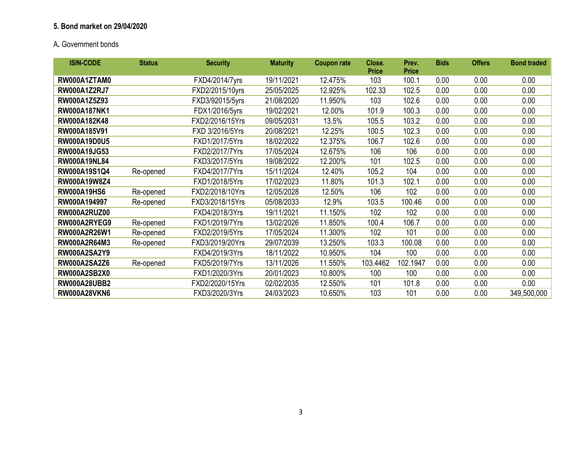# **5. Bond market on 29/04/2020**

# A**.** Government bonds

| <b>ISIN-CODE</b>    | <b>Status</b> | <b>Security</b> | <b>Maturity</b> | <b>Coupon rate</b> | Close.<br><b>Price</b> | Prev.<br><b>Price</b> | <b>Bids</b> | <b>Offers</b> | <b>Bond traded</b> |
|---------------------|---------------|-----------------|-----------------|--------------------|------------------------|-----------------------|-------------|---------------|--------------------|
| RW000A1ZTAM0        |               | FXD4/2014/7yrs  | 19/11/2021      | 12.475%            | 103                    | 100.1                 | 0.00        | 0.00          | 0.00               |
| <b>RW000A1Z2RJ7</b> |               | FXD2/2015/10yrs | 25/05/2025      | 12.925%            | 102.33                 | 102.5                 | 0.00        | 0.00          | 0.00               |
| RW000A1Z5Z93        |               | FXD3/92015/5yrs | 21/08/2020      | 11.950%            | 103                    | 102.6                 | 0.00        | 0.00          | 0.00               |
| <b>RW000A187NK1</b> |               | FDX1/2016/5yrs  | 19/02/2021      | 12.00%             | 101.9                  | 100.3                 | 0.00        | 0.00          | 0.00               |
| RW000A182K48        |               | FXD2/2016/15Yrs | 09/05/2031      | 13.5%              | 105.5                  | 103.2                 | 0.00        | 0.00          | 0.00               |
| RW000A185V91        |               | FXD 3/2016/5Yrs | 20/08/2021      | 12.25%             | 100.5                  | 102.3                 | 0.00        | 0.00          | 0.00               |
| <b>RW000A19D0U5</b> |               | FXD1/2017/5Yrs  | 18/02/2022      | 12.375%            | 106.7                  | 102.6                 | 0.00        | 0.00          | 0.00               |
| RW000A19JG53        |               | FXD2/2017/7Yrs  | 17/05/2024      | 12.675%            | 106                    | 106                   | 0.00        | 0.00          | 0.00               |
| <b>RW000A19NL84</b> |               | FXD3/2017/5Yrs  | 19/08/2022      | 12.200%            | 101                    | 102.5                 | 0.00        | 0.00          | 0.00               |
| RW000A19S1Q4        | Re-opened     | FXD4/2017/7Yrs  | 15/11/2024      | 12.40%             | 105.2                  | 104                   | 0.00        | 0.00          | 0.00               |
| RW000A19W8Z4        |               | FXD1/2018/5Yrs  | 17/02/2023      | 11.80%             | 101.3                  | 102.1                 | 0.00        | 0.00          | 0.00               |
| <b>RW000A19HS6</b>  | Re-opened     | FXD2/2018/10Yrs | 12/05/2028      | 12.50%             | 106                    | 102                   | 0.00        | 0.00          | 0.00               |
| RW000A194997        | Re-opened     | FXD3/2018/15Yrs | 05/08/2033      | 12.9%              | 103.5                  | 100.46                | 0.00        | 0.00          | 0.00               |
| <b>RW000A2RUZ00</b> |               | FXD4/2018/3Yrs  | 19/11/2021      | 11.150%            | 102                    | 102                   | 0.00        | 0.00          | 0.00               |
| RW000A2RYEG9        | Re-opened     | FXD1/2019/7Yrs  | 13/02/2026      | 11.850%            | 100.4                  | 106.7                 | 0.00        | 0.00          | 0.00               |
| RW000A2R26W1        | Re-opened     | FXD2/2019/5Yrs  | 17/05/2024      | 11.300%            | 102                    | 101                   | 0.00        | 0.00          | 0.00               |
| RW000A2R64M3        | Re-opened     | FXD3/2019/20Yrs | 29/07/2039      | 13.250%            | 103.3                  | 100.08                | 0.00        | 0.00          | 0.00               |
| <b>RW000A2SA2Y9</b> |               | FXD4/2019/3Yrs  | 18/11/2022      | 10.950%            | 104                    | 100                   | 0.00        | 0.00          | 0.00               |
| <b>RW000A2SA2Z6</b> | Re-opened     | FXD5/2019/7Yrs  | 13/11/2026      | 11.550%            | 103.4462               | 102.1947              | 0.00        | 0.00          | 0.00               |
| <b>RW000A2SB2X0</b> |               | FXD1/2020/3Yrs  | 20/01/2023      | 10.800%            | 100                    | 100                   | 0.00        | 0.00          | 0.00               |
| <b>RW000A28UBB2</b> |               | FXD2/2020/15Yrs | 02/02/2035      | 12.550%            | 101                    | 101.8                 | 0.00        | 0.00          | 0.00               |
| <b>RW000A28VKN6</b> |               | FXD3/2020/3Yrs  | 24/03/2023      | 10.650%            | 103                    | 101                   | 0.00        | 0.00          | 349,500,000        |